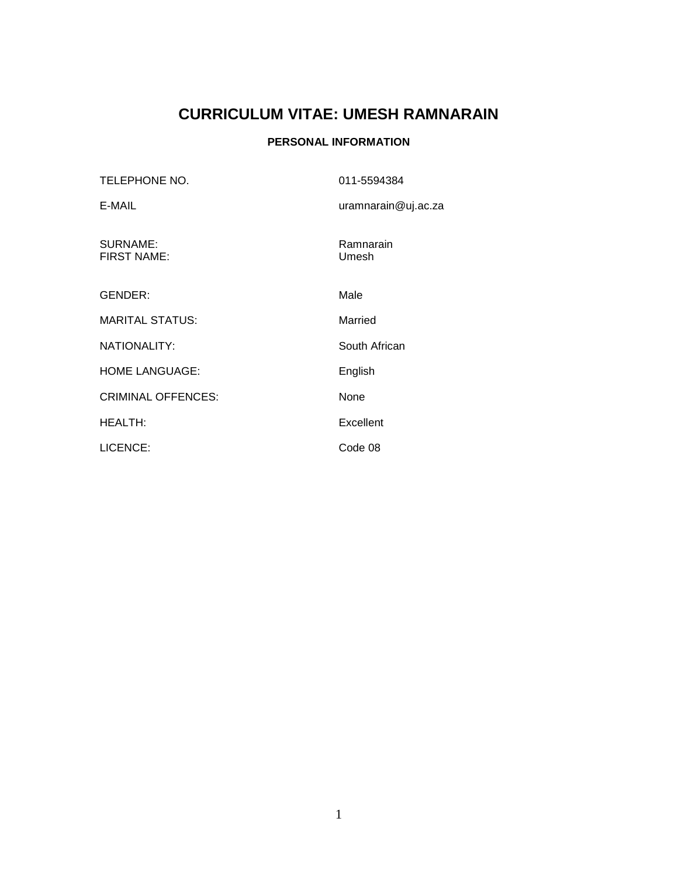# **CURRICULUM VITAE: UMESH RAMNARAIN**

# **PERSONAL INFORMATION**

| TELEPHONE NO.                  | 011-5594384         |
|--------------------------------|---------------------|
| E-MAIL                         | uramnarain@uj.ac.za |
| SURNAME:<br><b>FIRST NAME:</b> | Ramnarain<br>Umesh  |
| <b>GENDER:</b>                 | Male                |
| <b>MARITAL STATUS:</b>         | Married             |
| NATIONALITY:                   | South African       |
| <b>HOME LANGUAGE:</b>          | English             |
| <b>CRIMINAL OFFENCES:</b>      | None                |
| <b>HEALTH:</b>                 | Excellent           |
| LICENCE:                       | Code 08             |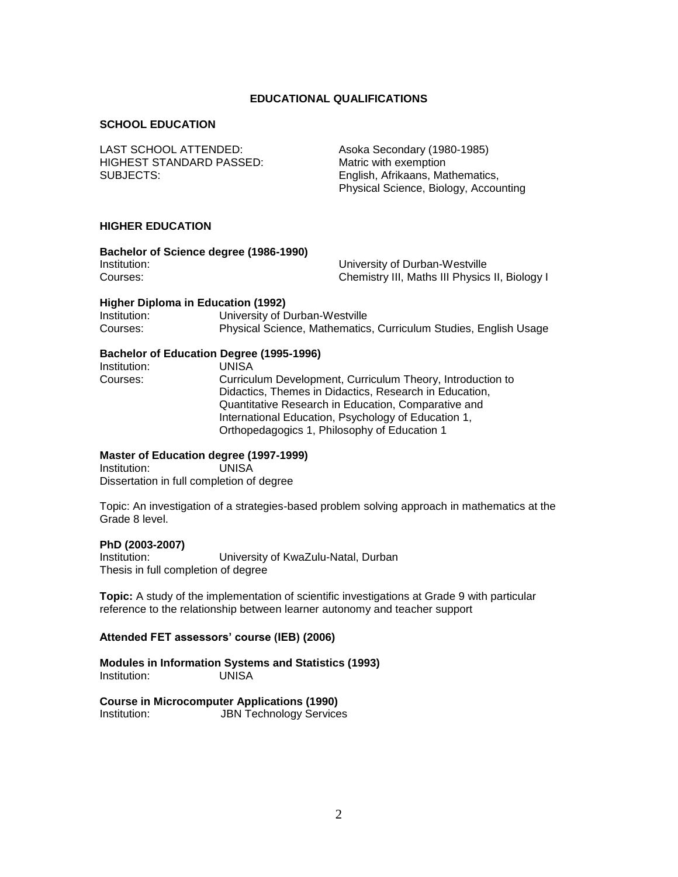#### **EDUCATIONAL QUALIFICATIONS**

#### **SCHOOL EDUCATION**

LAST SCHOOL ATTENDED: Asoka Secondary (1980-1985) HIGHEST STANDARD PASSED: Matric with exemption SUBJECTS: English, Afrikaans, Mathematics,

Physical Science, Biology, Accounting

#### **HIGHER EDUCATION**

| Bachelor of Science degree (1986-1990) |                                                |
|----------------------------------------|------------------------------------------------|
| Institution:                           | University of Durban-Westville                 |
| Courses:                               | Chemistry III, Maths III Physics II, Biology I |

#### **Higher Diploma in Education (1992)**

| Institution: | University of Durban-Westville                                   |
|--------------|------------------------------------------------------------------|
| Courses:     | Physical Science, Mathematics, Curriculum Studies, English Usage |

#### **Bachelor of Education Degree (1995-1996)**

**Institution:** UNISA<br>Courses: Curricu Curriculum Development, Curriculum Theory, Introduction to Didactics, Themes in Didactics, Research in Education, Quantitative Research in Education, Comparative and International Education, Psychology of Education 1, Orthopedagogics 1, Philosophy of Education 1

#### **Master of Education degree (1997-1999)**

Institution: UNISA Dissertation in full completion of degree

Topic: An investigation of a strategies-based problem solving approach in mathematics at the Grade 8 level.

#### **PhD (2003-2007)**

Institution: University of KwaZulu-Natal, Durban Thesis in full completion of degree

**Topic:** A study of the implementation of scientific investigations at Grade 9 with particular reference to the relationship between learner autonomy and teacher support

#### **Attended FET assessors' course (IEB) (2006)**

**Modules in Information Systems and Statistics (1993)** Institution: UNISA

**Course in Microcomputer Applications (1990)** Institution: JBN Technology Services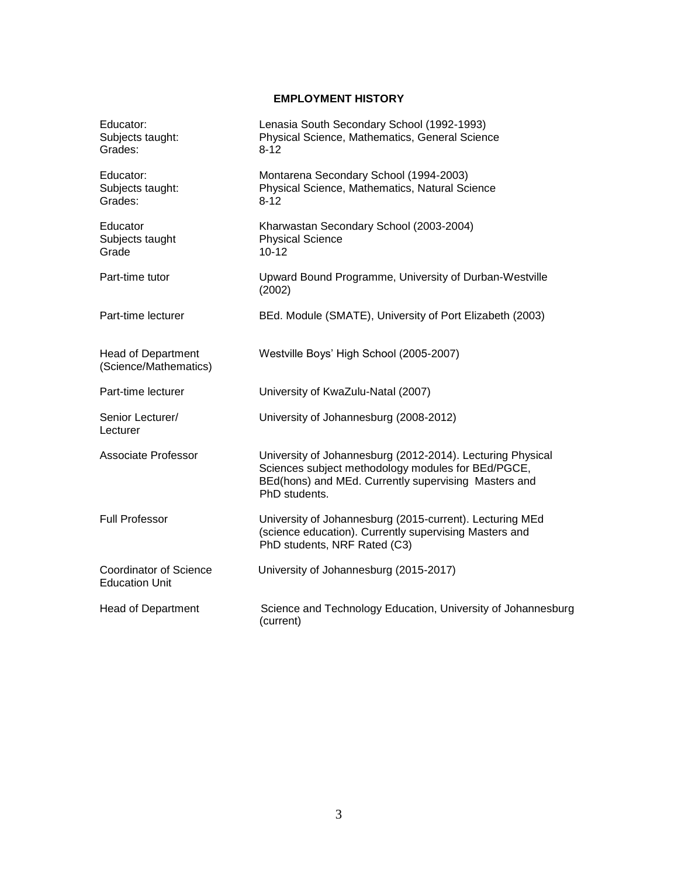# **EMPLOYMENT HISTORY**

| Educator:<br>Subjects taught:<br>Grades:               | Lenasia South Secondary School (1992-1993)<br>Physical Science, Mathematics, General Science<br>$8 - 12$                                                                                  |
|--------------------------------------------------------|-------------------------------------------------------------------------------------------------------------------------------------------------------------------------------------------|
| Educator:<br>Subjects taught:<br>Grades:               | Montarena Secondary School (1994-2003)<br>Physical Science, Mathematics, Natural Science<br>$8 - 12$                                                                                      |
| Educator<br>Subjects taught<br>Grade                   | Kharwastan Secondary School (2003-2004)<br><b>Physical Science</b><br>$10 - 12$                                                                                                           |
| Part-time tutor                                        | Upward Bound Programme, University of Durban-Westville<br>(2002)                                                                                                                          |
| Part-time lecturer                                     | BEd. Module (SMATE), University of Port Elizabeth (2003)                                                                                                                                  |
| Head of Department<br>(Science/Mathematics)            | Westville Boys' High School (2005-2007)                                                                                                                                                   |
| Part-time lecturer                                     | University of KwaZulu-Natal (2007)                                                                                                                                                        |
| Senior Lecturer/<br>Lecturer                           | University of Johannesburg (2008-2012)                                                                                                                                                    |
| <b>Associate Professor</b>                             | University of Johannesburg (2012-2014). Lecturing Physical<br>Sciences subject methodology modules for BEd/PGCE,<br>BEd(hons) and MEd. Currently supervising Masters and<br>PhD students. |
| <b>Full Professor</b>                                  | University of Johannesburg (2015-current). Lecturing MEd<br>(science education). Currently supervising Masters and<br>PhD students, NRF Rated (C3)                                        |
| <b>Coordinator of Science</b><br><b>Education Unit</b> | University of Johannesburg (2015-2017)                                                                                                                                                    |
| <b>Head of Department</b>                              | Science and Technology Education, University of Johannesburg<br>(current)                                                                                                                 |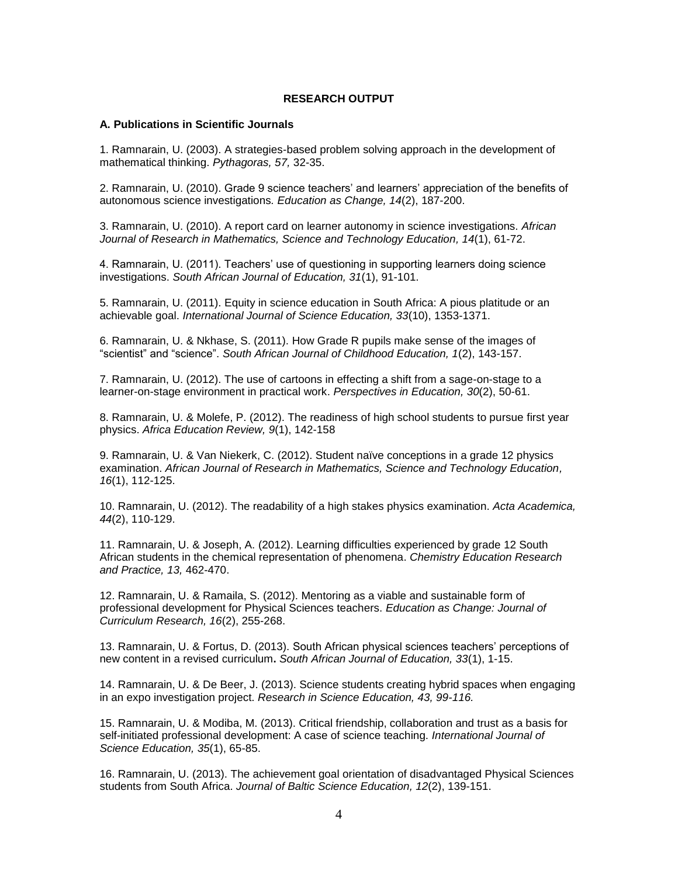#### **RESEARCH OUTPUT**

#### **A. Publications in Scientific Journals**

1. Ramnarain, U. (2003). A strategies-based problem solving approach in the development of mathematical thinking. *Pythagoras, 57,* 32-35.

2. Ramnarain, U. (2010). Grade 9 science teachers' and learners' appreciation of the benefits of autonomous science investigations*. Education as Change, 14*(2), 187-200.

3. Ramnarain, U. (2010). A report card on learner autonomy in science investigations. *African Journal of Research in Mathematics, Science and Technology Education, 14*(1), 61-72.

4. Ramnarain, U. (2011). Teachers' use of questioning in supporting learners doing science investigations. *South African Journal of Education, 31*(1), 91-101.

5. Ramnarain, U. (2011). Equity in science education in South Africa: A pious platitude or an achievable goal. *International Journal of Science Education, 33*(10), 1353-1371.

6. Ramnarain, U. & Nkhase, S. (2011). How Grade R pupils make sense of the images of "scientist" and "science". *South African Journal of Childhood Education, 1*(2), 143-157.

7. Ramnarain, U. (2012). The use of cartoons in effecting a shift from a sage-on-stage to a learner-on-stage environment in practical work. *Perspectives in Education, 30*(2), 50-61.

8. Ramnarain, U. & Molefe, P. (2012). The readiness of high school students to pursue first year physics. *Africa Education Review, 9*(1), 142-158

9. Ramnarain, U. & Van Niekerk, C. (2012). Student naïve conceptions in a grade 12 physics examination. *African Journal of Research in Mathematics, Science and Technology Education, 16*(1), 112-125.

10. Ramnarain, U. (2012). The readability of a high stakes physics examination. *Acta Academica, 44*(2), 110-129.

11. Ramnarain, U. & Joseph, A. (2012). Learning difficulties experienced by grade 12 South African students in the chemical representation of phenomena. *Chemistry Education Research and Practice, 13,* 462-470.

12. Ramnarain, U. & Ramaila, S. (2012). Mentoring as a viable and sustainable form of professional development for Physical Sciences teachers. *Education as Change: Journal of Curriculum Research, 16*(2), 255-268.

13. Ramnarain, U. & Fortus, D. (2013). South African physical sciences teachers' perceptions of new content in a revised curriculum**.** *South African Journal of Education, 33*(1), 1-15.

14. Ramnarain, U. & De Beer, J. (2013). Science students creating hybrid spaces when engaging in an expo investigation project. *Research in Science Education, 43, 99-116.*

15. Ramnarain, U. & Modiba, M. (2013). Critical friendship, collaboration and trust as a basis for self-initiated professional development: A case of science teaching. *International Journal of Science Education, 35*(1), 65-85.

16. Ramnarain, U. (2013). The achievement goal orientation of disadvantaged Physical Sciences students from South Africa. *Journal of Baltic Science Education, 12*(2), 139-151.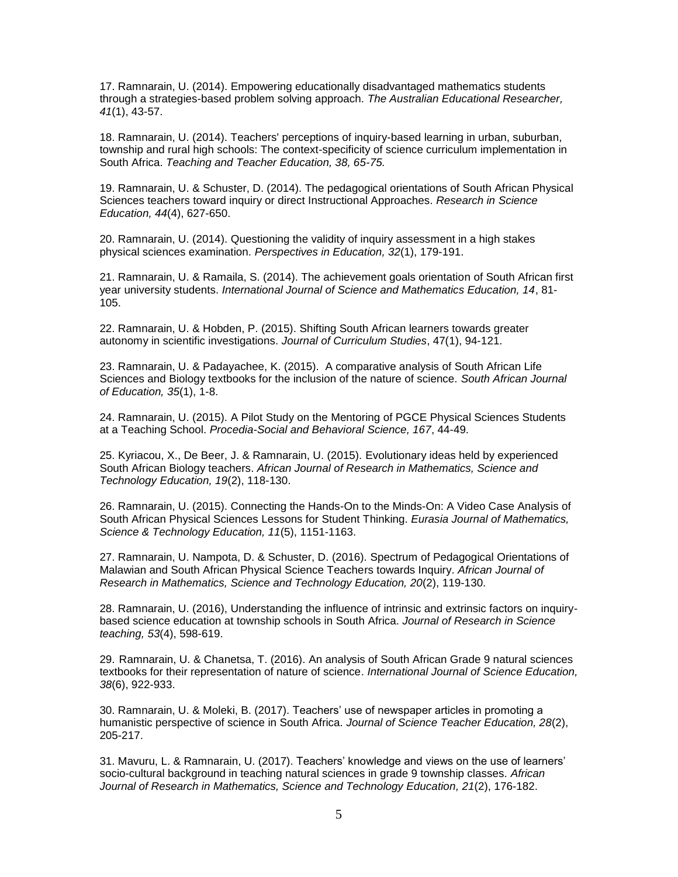17. Ramnarain, U. (2014). Empowering educationally disadvantaged mathematics students through a strategies-based problem solving approach. *The Australian Educational Researcher, 41*(1), 43-57.

18. Ramnarain, U. (2014). Teachers' perceptions of inquiry-based learning in urban, suburban, township and rural high schools: The context-specificity of science curriculum implementation in South Africa. *Teaching and Teacher Education, 38, 65-75.*

19. Ramnarain, U. & Schuster, D. (2014). The pedagogical orientations of South African Physical Sciences teachers toward inquiry or direct Instructional Approaches. *Research in Science Education, 44*(4), 627-650.

20. Ramnarain, U. (2014). Questioning the validity of inquiry assessment in a high stakes physical sciences examination. *Perspectives in Education, 32*(1), 179-191.

21. Ramnarain, U. & Ramaila, S. (2014). The achievement goals orientation of South African first year university students. *International Journal of Science and Mathematics Education, 14*, 81- 105.

22. Ramnarain, U. & Hobden, P. (2015). Shifting South African learners towards greater autonomy in scientific investigations. *Journal of Curriculum Studies*, 47(1), 94-121.

23. Ramnarain, U. & Padayachee, K. (2015). A comparative analysis of South African Life Sciences and Biology textbooks for the inclusion of the nature of science. *South African Journal of Education, 35*(1), 1-8.

24. Ramnarain, U. (2015). A Pilot Study on the Mentoring of PGCE Physical Sciences Students at a Teaching School. *Procedia-Social and Behavioral Science, 167*, 44-49.

25. Kyriacou, X., De Beer, J. & Ramnarain, U. (2015). Evolutionary ideas held by experienced South African Biology teachers. *African Journal of Research in Mathematics, Science and Technology Education, 19*(2), 118-130.

26. Ramnarain, U. (2015). Connecting the Hands-On to the Minds-On: A Video Case Analysis of South African Physical Sciences Lessons for Student Thinking. *Eurasia Journal of Mathematics, Science & Technology Education, 11*(5), 1151-1163.

27. Ramnarain, U. Nampota, D. & Schuster, D. (2016). Spectrum of Pedagogical Orientations of Malawian and South African Physical Science Teachers towards Inquiry. *African Journal of Research in Mathematics, Science and Technology Education, 20*(2), 119-130.

28. Ramnarain, U. (2016), Understanding the influence of intrinsic and extrinsic factors on inquirybased science education at township schools in South Africa. *Journal of Research in Science teaching, 53*(4), 598-619.

29. Ramnarain, U. & Chanetsa, T. (2016). An analysis of South African Grade 9 natural sciences textbooks for their representation of nature of science. *International Journal of Science Education, 38*(6), 922-933.

30. Ramnarain, U. & Moleki, B. (2017). Teachers' use of newspaper articles in promoting a humanistic perspective of science in South Africa. *Journal of Science Teacher Education, 28*(2), 205-217.

31. Mavuru, L. & Ramnarain, U. (2017). Teachers' knowledge and views on the use of learners' socio-cultural background in teaching natural sciences in grade 9 township classes*. African Journal of Research in Mathematics, Science and Technology Education, 21*(2), 176-182.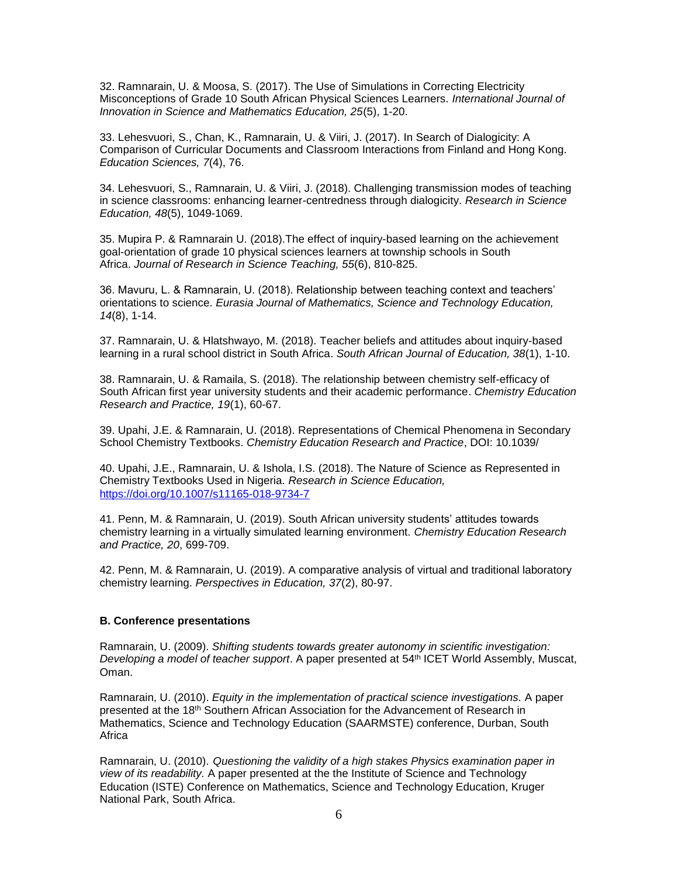32. Ramnarain, U. & Moosa, S. (2017). The Use of Simulations in Correcting Electricity Misconceptions of Grade 10 South African Physical Sciences Learners. *International Journal of Innovation in Science and Mathematics Education, 25*(5), 1-20.

33. Lehesvuori, S., Chan, K., Ramnarain, U. & Viiri, J. (2017). In Search of Dialogicity: A Comparison of Curricular Documents and Classroom Interactions from Finland and Hong Kong. *Education Sciences, 7*(4), 76.

34. Lehesvuori, S., Ramnarain, U. & Viiri, J. (2018). Challenging transmission modes of teaching in science classrooms: enhancing learner-centredness through dialogicity. *Research in Science Education, 48*(5), 1049-1069.

35. Mupira P. & Ramnarain U. (2018).The effect of inquiry-based learning on the achievement goal-orientation of grade 10 physical sciences learners at township schools in South Africa. *Journal of Research in Science Teaching, 55*(6), 810-825.

36. Mavuru, L. & Ramnarain, U. (2018). Relationship between teaching context and teachers' orientations to science. *Eurasia Journal of Mathematics, Science and Technology Education, 14*(8), 1-14.

37. Ramnarain, U. & Hlatshwayo, M. (2018). Teacher beliefs and attitudes about inquiry-based learning in a rural school district in South Africa. *South African Journal of Education, 38*(1), 1-10.

38. Ramnarain, U. & Ramaila, S. (2018). The relationship between chemistry self-efficacy of South African first year university students and their academic performance. *Chemistry Education Research and Practice, 19*(1), 60-67.

39. Upahi, J.E. & Ramnarain, U. (2018). Representations of Chemical Phenomena in Secondary School Chemistry Textbooks. *Chemistry Education Research and Practice*, DOI: 10.1039/

40. Upahi, J.E., Ramnarain, U. & Ishola, I.S. (2018). The Nature of Science as Represented in Chemistry Textbooks Used in Nigeria. *Research in Science Education,*  <https://doi.org/10.1007/s11165-018-9734-7>

41. Penn, M. & Ramnarain, U. (2019). South African university students' attitudes towards chemistry learning in a virtually simulated learning environment. *Chemistry Education Research and Practice, 20*, 699-709.

42. Penn, M. & Ramnarain, U. (2019). A comparative analysis of virtual and traditional laboratory chemistry learning. *Perspectives in Education, 37*(2), 80-97.

#### **B. Conference presentations**

Ramnarain, U. (2009). *Shifting students towards greater autonomy in scientific investigation: Developing a model of teacher support*. A paper presented at 54th ICET World Assembly, Muscat, Oman.

Ramnarain, U. (2010). *Equity in the implementation of practical science investigations.* A paper presented at the 18<sup>th</sup> Southern African Association for the Advancement of Research in Mathematics, Science and Technology Education (SAARMSTE) conference, Durban, South Africa

Ramnarain, U. (2010). *Questioning the validity of a high stakes Physics examination paper in view of its readability.* A paper presented at the the Institute of Science and Technology Education (ISTE) Conference on Mathematics, Science and Technology Education, Kruger National Park, South Africa.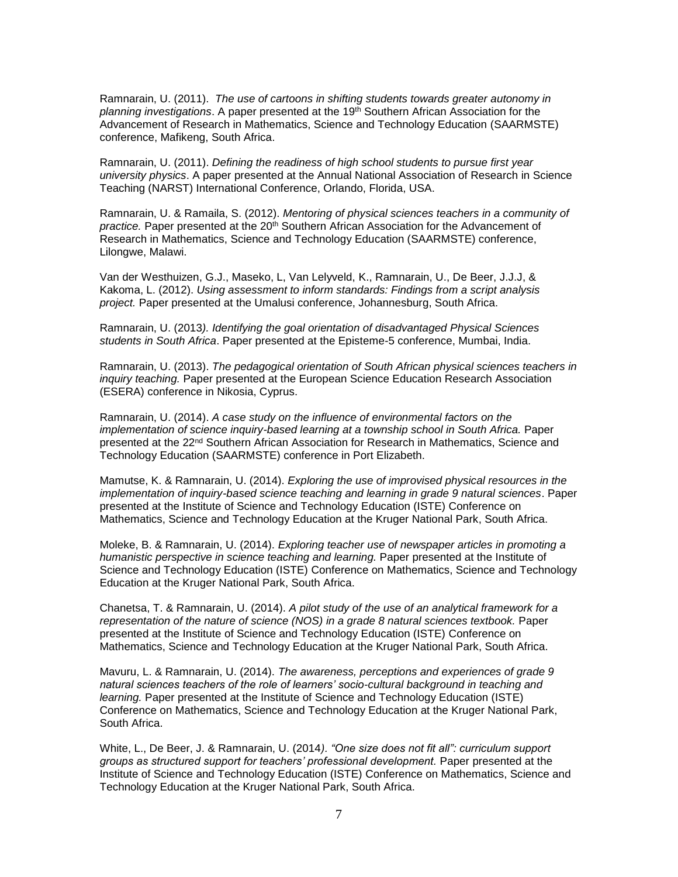Ramnarain, U. (2011). *The use of cartoons in shifting students towards greater autonomy in*  planning investigations. A paper presented at the 19<sup>th</sup> Southern African Association for the Advancement of Research in Mathematics, Science and Technology Education (SAARMSTE) conference, Mafikeng, South Africa.

Ramnarain, U. (2011). *Defining the readiness of high school students to pursue first year university physics*. A paper presented at the Annual National Association of Research in Science Teaching (NARST) International Conference, Orlando, Florida, USA.

Ramnarain, U. & Ramaila, S. (2012). *Mentoring of physical sciences teachers in a community of*  practice. Paper presented at the 20<sup>th</sup> Southern African Association for the Advancement of Research in Mathematics, Science and Technology Education (SAARMSTE) conference, Lilongwe, Malawi.

Van der Westhuizen, G.J., Maseko, L, Van Lelyveld, K., Ramnarain, U., De Beer, J.J.J, & Kakoma, L. (2012). *Using assessment to inform standards: Findings from a script analysis project.* Paper presented at the Umalusi conference, Johannesburg, South Africa.

Ramnarain, U. (2013*). Identifying the goal orientation of disadvantaged Physical Sciences students in South Africa*. Paper presented at the Episteme-5 conference, Mumbai, India.

Ramnarain, U. (2013). *The pedagogical orientation of South African physical sciences teachers in inquiry teaching.* Paper presented at the European Science Education Research Association (ESERA) conference in Nikosia, Cyprus.

Ramnarain, U. (2014). *A case study on the influence of environmental factors on the implementation of science inquiry-based learning at a township school in South Africa.* Paper presented at the 22nd Southern African Association for Research in Mathematics, Science and Technology Education (SAARMSTE) conference in Port Elizabeth.

Mamutse, K. & Ramnarain, U. (2014). *Exploring the use of improvised physical resources in the implementation of inquiry-based science teaching and learning in grade 9 natural sciences*. Paper presented at the Institute of Science and Technology Education (ISTE) Conference on Mathematics, Science and Technology Education at the Kruger National Park, South Africa.

Moleke, B. & Ramnarain, U. (2014). *Exploring teacher use of newspaper articles in promoting a humanistic perspective in science teaching and learning.* Paper presented at the Institute of Science and Technology Education (ISTE) Conference on Mathematics, Science and Technology Education at the Kruger National Park, South Africa.

Chanetsa, T. & Ramnarain, U. (2014). *A pilot study of the use of an analytical framework for a representation of the nature of science (NOS) in a grade 8 natural sciences textbook.* Paper presented at the Institute of Science and Technology Education (ISTE) Conference on Mathematics, Science and Technology Education at the Kruger National Park, South Africa.

Mavuru, L. & Ramnarain, U. (2014). *The awareness, perceptions and experiences of grade 9 natural sciences teachers of the role of learners' socio-cultural background in teaching and learning.* Paper presented at the Institute of Science and Technology Education (ISTE) Conference on Mathematics, Science and Technology Education at the Kruger National Park, South Africa.

White, L., De Beer, J. & Ramnarain, U. (2014*). "One size does not fit all": curriculum support groups as structured support for teachers' professional development.* Paper presented at the Institute of Science and Technology Education (ISTE) Conference on Mathematics, Science and Technology Education at the Kruger National Park, South Africa.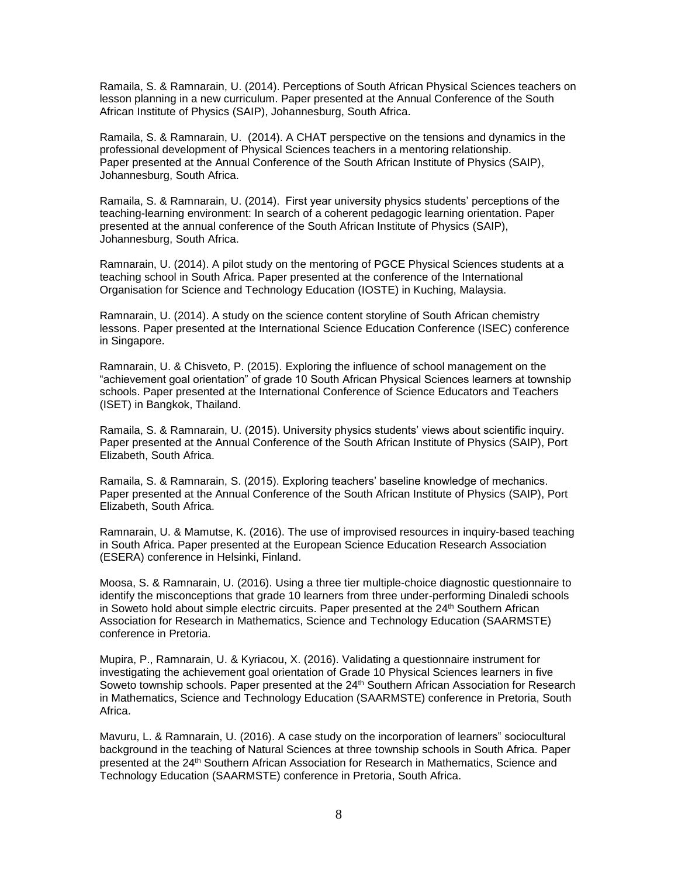Ramaila, S. & Ramnarain, U. (2014). Perceptions of South African Physical Sciences teachers on lesson planning in a new curriculum. Paper presented at the Annual Conference of the South African Institute of Physics (SAIP), Johannesburg, South Africa.

Ramaila, S. & Ramnarain, U. (2014). A CHAT perspective on the tensions and dynamics in the professional development of Physical Sciences teachers in a mentoring relationship. Paper presented at the Annual Conference of the South African Institute of Physics (SAIP), Johannesburg, South Africa.

Ramaila, S. & Ramnarain, U. (2014). First year university physics students' perceptions of the teaching-learning environment: In search of a coherent pedagogic learning orientation. Paper presented at the annual conference of the South African Institute of Physics (SAIP), Johannesburg, South Africa.

Ramnarain, U. (2014). A pilot study on the mentoring of PGCE Physical Sciences students at a teaching school in South Africa. Paper presented at the conference of the International Organisation for Science and Technology Education (IOSTE) in Kuching, Malaysia.

Ramnarain, U. (2014). A study on the science content storyline of South African chemistry lessons. Paper presented at the International Science Education Conference (ISEC) conference in Singapore.

Ramnarain, U. & Chisveto, P. (2015). Exploring the influence of school management on the "achievement goal orientation" of grade 10 South African Physical Sciences learners at township schools. Paper presented at the International Conference of Science Educators and Teachers (ISET) in Bangkok, Thailand.

Ramaila, S. & Ramnarain, U. (2015). University physics students' views about scientific inquiry. Paper presented at the Annual Conference of the South African Institute of Physics (SAIP), Port Elizabeth, South Africa.

Ramaila, S. & Ramnarain, S. (2015). Exploring teachers' baseline knowledge of mechanics. Paper presented at the Annual Conference of the South African Institute of Physics (SAIP), Port Elizabeth, South Africa.

Ramnarain, U. & Mamutse, K. (2016). The use of improvised resources in inquiry-based teaching in South Africa. Paper presented at the European Science Education Research Association (ESERA) conference in Helsinki, Finland.

Moosa, S. & Ramnarain, U. (2016). Using a three tier multiple-choice diagnostic questionnaire to identify the misconceptions that grade 10 learners from three under-performing Dinaledi schools in Soweto hold about simple electric circuits. Paper presented at the 24<sup>th</sup> Southern African Association for Research in Mathematics, Science and Technology Education (SAARMSTE) conference in Pretoria.

Mupira, P., Ramnarain, U. & Kyriacou, X. (2016). Validating a questionnaire instrument for investigating the achievement goal orientation of Grade 10 Physical Sciences learners in five Soweto township schools. Paper presented at the 24<sup>th</sup> Southern African Association for Research in Mathematics, Science and Technology Education (SAARMSTE) conference in Pretoria, South Africa.

Mavuru, L. & Ramnarain, U. (2016). A case study on the incorporation of learners" sociocultural background in the teaching of Natural Sciences at three township schools in South Africa. Paper presented at the 24<sup>th</sup> Southern African Association for Research in Mathematics, Science and Technology Education (SAARMSTE) conference in Pretoria, South Africa.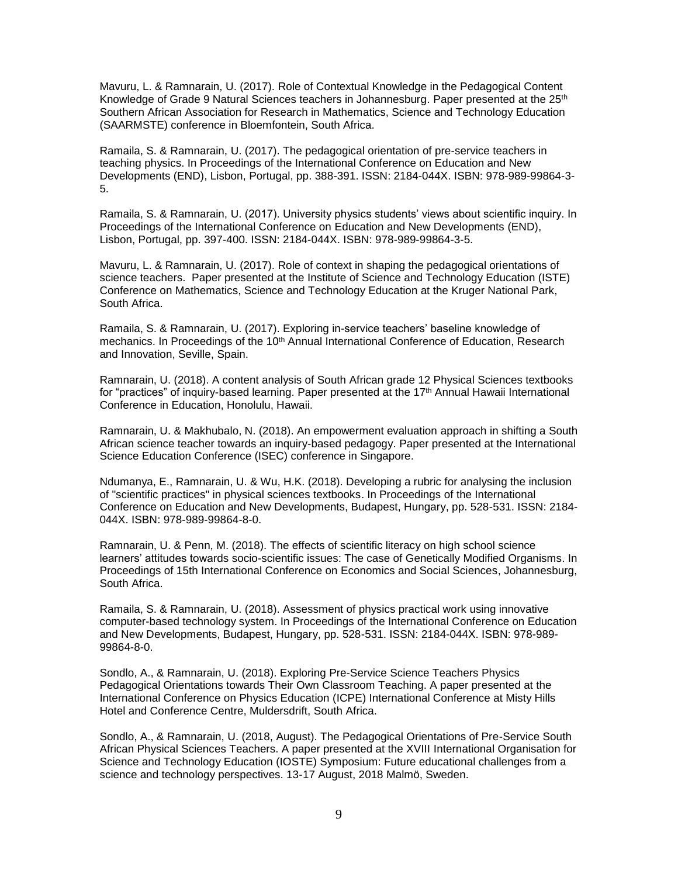Mavuru, L. & Ramnarain, U. (2017). Role of Contextual Knowledge in the Pedagogical Content Knowledge of Grade 9 Natural Sciences teachers in Johannesburg. Paper presented at the 25<sup>th</sup> Southern African Association for Research in Mathematics, Science and Technology Education (SAARMSTE) conference in Bloemfontein, South Africa.

Ramaila, S. & Ramnarain, U. (2017). The pedagogical orientation of pre-service teachers in teaching physics. In Proceedings of the International Conference on Education and New Developments (END), Lisbon, Portugal, pp. 388-391. ISSN: 2184-044X. ISBN: 978-989-99864-3- 5.

Ramaila, S. & Ramnarain, U. (2017). University physics students' views about scientific inquiry. In Proceedings of the International Conference on Education and New Developments (END), Lisbon, Portugal, pp. 397-400. ISSN: 2184-044X. ISBN: 978-989-99864-3-5.

Mavuru, L. & Ramnarain, U. (2017). Role of context in shaping the pedagogical orientations of science teachers. Paper presented at the Institute of Science and Technology Education (ISTE) Conference on Mathematics, Science and Technology Education at the Kruger National Park, South Africa.

Ramaila, S. & Ramnarain, U. (2017). Exploring in-service teachers' baseline knowledge of mechanics. In Proceedings of the 10<sup>th</sup> Annual International Conference of Education, Research and Innovation, Seville, Spain.

Ramnarain, U. (2018). A content analysis of South African grade 12 Physical Sciences textbooks for "practices" of inquiry-based learning. Paper presented at the 17<sup>th</sup> Annual Hawaii International Conference in Education, Honolulu, Hawaii.

Ramnarain, U. & Makhubalo, N. (2018). An empowerment evaluation approach in shifting a South African science teacher towards an inquiry-based pedagogy. Paper presented at the International Science Education Conference (ISEC) conference in Singapore.

Ndumanya, E., Ramnarain, U. & Wu, H.K. (2018). Developing a rubric for analysing the inclusion of "scientific practices" in physical sciences textbooks. In Proceedings of the International Conference on Education and New Developments, Budapest, Hungary, pp. 528-531. ISSN: 2184- 044X. ISBN: 978-989-99864-8-0.

Ramnarain, U. & Penn, M. (2018). The effects of scientific literacy on high school science learners' attitudes towards socio-scientific issues: The case of Genetically Modified Organisms. In Proceedings of 15th International Conference on Economics and Social Sciences, Johannesburg, South Africa.

Ramaila, S. & Ramnarain, U. (2018). Assessment of physics practical work using innovative computer-based technology system. In Proceedings of the International Conference on Education and New Developments, Budapest, Hungary, pp. 528-531. ISSN: 2184-044X. ISBN: 978-989- 99864-8-0.

Sondlo, A., & Ramnarain, U. (2018). Exploring Pre-Service Science Teachers Physics Pedagogical Orientations towards Their Own Classroom Teaching. A paper presented at the International Conference on Physics Education (ICPE) International Conference at Misty Hills Hotel and Conference Centre, Muldersdrift, South Africa.

Sondlo, A., & Ramnarain, U. (2018, August). The Pedagogical Orientations of Pre-Service South African Physical Sciences Teachers. A paper presented at the XVIII International Organisation for Science and Technology Education (IOSTE) Symposium: Future educational challenges from a science and technology perspectives. 13-17 August, 2018 Malmö, Sweden.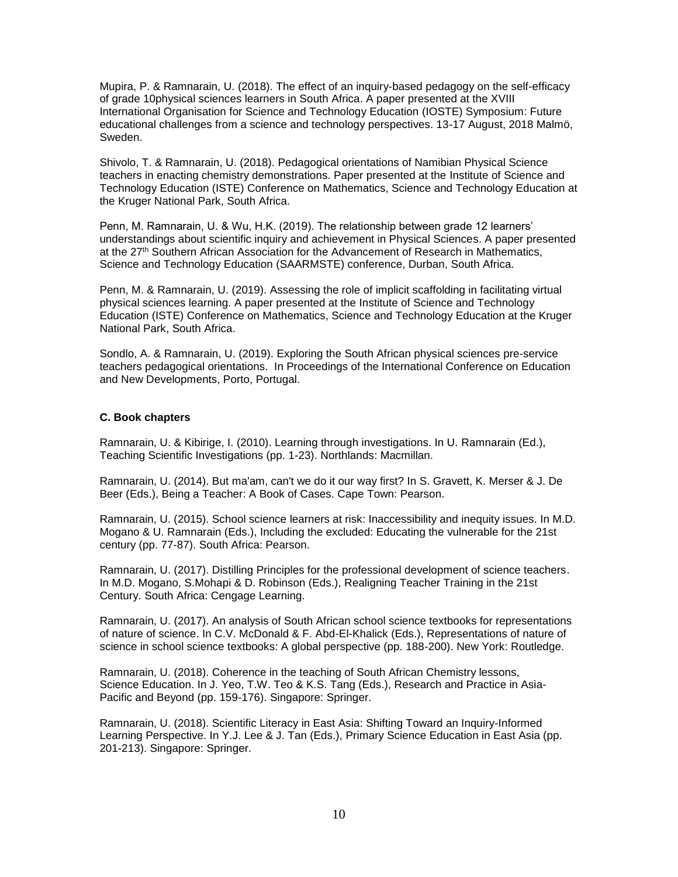Mupira, P. & Ramnarain, U. (2018). The effect of an inquiry-based pedagogy on the self-efficacy of grade 10physical sciences learners in South Africa. A paper presented at the XVIII International Organisation for Science and Technology Education (IOSTE) Symposium: Future educational challenges from a science and technology perspectives. 13-17 August, 2018 Malmö, Sweden.

Shivolo, T. & Ramnarain, U. (2018). Pedagogical orientations of Namibian Physical Science teachers in enacting chemistry demonstrations. Paper presented at the Institute of Science and Technology Education (ISTE) Conference on Mathematics, Science and Technology Education at the Kruger National Park, South Africa.

Penn, M. Ramnarain, U. & Wu, H.K. (2019). The relationship between grade 12 learners' understandings about scientific inquiry and achievement in Physical Sciences. A paper presented at the 27<sup>th</sup> Southern African Association for the Advancement of Research in Mathematics, Science and Technology Education (SAARMSTE) conference, Durban, South Africa.

Penn, M. & Ramnarain, U. (2019). Assessing the role of implicit scaffolding in facilitating virtual physical sciences learning. A paper presented at the Institute of Science and Technology Education (ISTE) Conference on Mathematics, Science and Technology Education at the Kruger National Park, South Africa.

Sondlo, A. & Ramnarain, U. (2019). Exploring the South African physical sciences pre-service teachers pedagogical orientations. In Proceedings of the International Conference on Education and New Developments, Porto, Portugal.

#### **C. Book chapters**

Ramnarain, U. & Kibirige, I. (2010). Learning through investigations. In U. Ramnarain (Ed.), Teaching Scientific Investigations (pp. 1-23). Northlands: Macmillan.

Ramnarain, U. (2014). But ma'am, can't we do it our way first? In S. Gravett, K. Merser & J. De Beer (Eds.), Being a Teacher: A Book of Cases. Cape Town: Pearson.

Ramnarain, U. (2015). School science learners at risk: Inaccessibility and inequity issues. In M.D. Mogano & U. Ramnarain (Eds.), Including the excluded: Educating the vulnerable for the 21st century (pp. 77-87). South Africa: Pearson.

Ramnarain, U. (2017). Distilling Principles for the professional development of science teachers. In M.D. Mogano, S.Mohapi & D. Robinson (Eds.), Realigning Teacher Training in the 21st Century. South Africa: Cengage Learning.

Ramnarain, U. (2017). An analysis of South African school science textbooks for representations of nature of science. In C.V. McDonald & F. Abd-El-Khalick (Eds.), Representations of nature of science in school science textbooks: A global perspective (pp. 188-200). New York: Routledge.

Ramnarain, U. (2018). Coherence in the teaching of South African Chemistry lessons, Science Education. In J. Yeo, T.W. Teo & K.S. Tang (Eds.), Research and Practice in Asia-Pacific and Beyond (pp. 159-176). Singapore: Springer.

Ramnarain, U. (2018). Scientific Literacy in East Asia: Shifting Toward an Inquiry-Informed Learning Perspective. In Y.J. Lee & J. Tan (Eds.), Primary Science Education in East Asia (pp. 201-213). Singapore: Springer.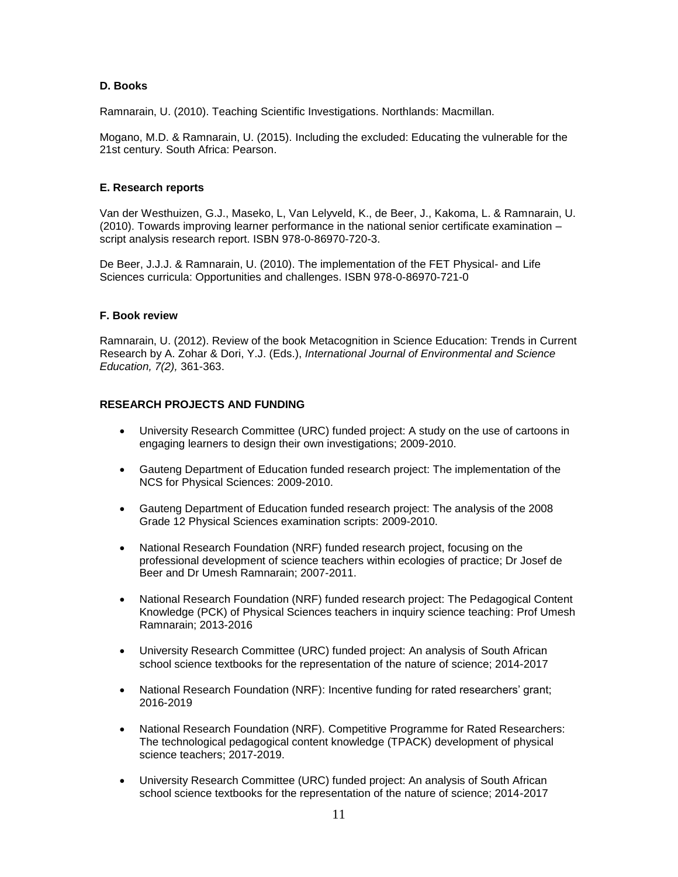#### **D. Books**

Ramnarain, U. (2010). Teaching Scientific Investigations. Northlands: Macmillan.

Mogano, M.D. & Ramnarain, U. (2015). Including the excluded: Educating the vulnerable for the 21st century. South Africa: Pearson.

#### **E. Research reports**

Van der Westhuizen, G.J., Maseko, L, Van Lelyveld, K., de Beer, J., Kakoma, L. & Ramnarain, U. (2010). Towards improving learner performance in the national senior certificate examination – script analysis research report. ISBN 978-0-86970-720-3.

De Beer, J.J.J. & Ramnarain, U. (2010). The implementation of the FET Physical- and Life Sciences curricula: Opportunities and challenges. ISBN 978-0-86970-721-0

#### **F. Book review**

Ramnarain, U. (2012). Review of the book Metacognition in Science Education: Trends in Current Research by A. Zohar & Dori, Y.J. (Eds.), *International Journal of Environmental and Science Education, 7(2),* 361-363.

#### **RESEARCH PROJECTS AND FUNDING**

- University Research Committee (URC) funded project: A study on the use of cartoons in engaging learners to design their own investigations; 2009-2010.
- Gauteng Department of Education funded research project: The implementation of the NCS for Physical Sciences: 2009-2010.
- Gauteng Department of Education funded research project: The analysis of the 2008 Grade 12 Physical Sciences examination scripts: 2009-2010.
- National Research Foundation (NRF) funded research project, focusing on the professional development of science teachers within ecologies of practice; Dr Josef de Beer and Dr Umesh Ramnarain; 2007-2011.
- National Research Foundation (NRF) funded research project: The Pedagogical Content Knowledge (PCK) of Physical Sciences teachers in inquiry science teaching: Prof Umesh Ramnarain; 2013-2016
- University Research Committee (URC) funded project: An analysis of South African school science textbooks for the representation of the nature of science; 2014-2017
- National Research Foundation (NRF): Incentive funding for rated researchers' grant; 2016-2019
- National Research Foundation (NRF). Competitive Programme for Rated Researchers: The technological pedagogical content knowledge (TPACK) development of physical science teachers; 2017-2019.
- University Research Committee (URC) funded project: An analysis of South African school science textbooks for the representation of the nature of science; 2014-2017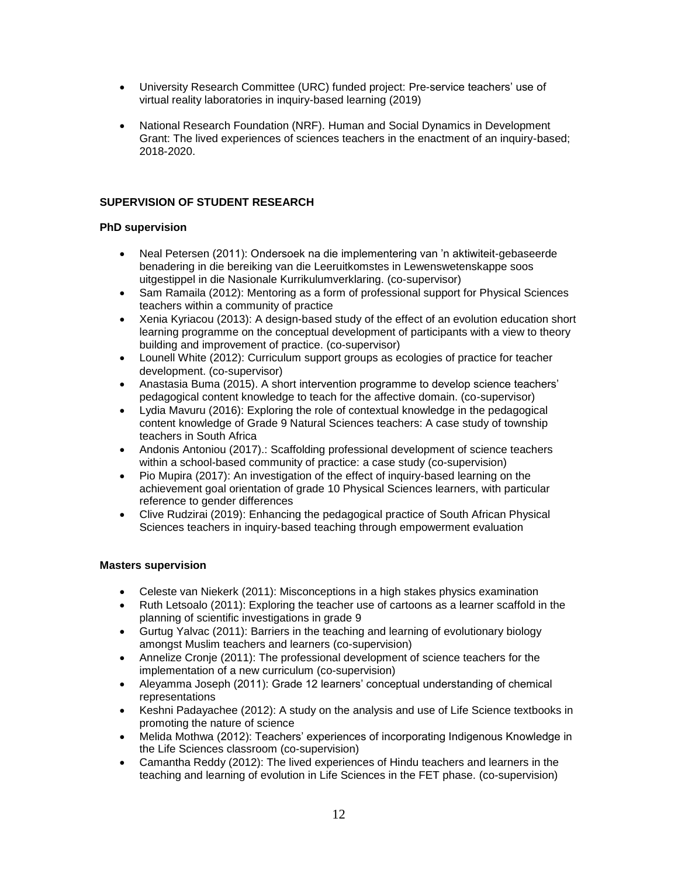- University Research Committee (URC) funded project: Pre-service teachers' use of virtual reality laboratories in inquiry-based learning (2019)
- National Research Foundation (NRF). Human and Social Dynamics in Development Grant: The lived experiences of sciences teachers in the enactment of an inquiry-based; 2018-2020.

## **SUPERVISION OF STUDENT RESEARCH**

## **PhD supervision**

- Neal Petersen (2011): Ondersoek na die implementering van 'n aktiwiteit-gebaseerde benadering in die bereiking van die Leeruitkomstes in Lewenswetenskappe soos uitgestippel in die Nasionale Kurrikulumverklaring. (co-supervisor)
- Sam Ramaila (2012): Mentoring as a form of professional support for Physical Sciences teachers within a community of practice
- Xenia Kyriacou (2013): A design-based study of the effect of an evolution education short learning programme on the conceptual development of participants with a view to theory building and improvement of practice. (co-supervisor)
- Lounell White (2012): Curriculum support groups as ecologies of practice for teacher development. (co-supervisor)
- Anastasia Buma (2015). A short intervention programme to develop science teachers' pedagogical content knowledge to teach for the affective domain. (co-supervisor)
- Lydia Mavuru (2016): Exploring the role of contextual knowledge in the pedagogical content knowledge of Grade 9 Natural Sciences teachers: A case study of township teachers in South Africa
- Andonis Antoniou (2017).: Scaffolding professional development of science teachers within a school-based community of practice: a case study (co-supervision)
- Pio Mupira (2017): An investigation of the effect of inquiry-based learning on the achievement goal orientation of grade 10 Physical Sciences learners, with particular reference to gender differences
- Clive Rudzirai (2019): Enhancing the pedagogical practice of South African Physical Sciences teachers in inquiry-based teaching through empowerment evaluation

## **Masters supervision**

- Celeste van Niekerk (2011): Misconceptions in a high stakes physics examination
- Ruth Letsoalo (2011): Exploring the teacher use of cartoons as a learner scaffold in the planning of scientific investigations in grade 9
- Gurtug Yalvac (2011): Barriers in the teaching and learning of evolutionary biology amongst Muslim teachers and learners (co-supervision)
- Annelize Cronje (2011): The professional development of science teachers for the implementation of a new curriculum (co-supervision)
- Aleyamma Joseph (2011): Grade 12 learners' conceptual understanding of chemical representations
- Keshni Padayachee (2012): A study on the analysis and use of Life Science textbooks in promoting the nature of science
- Melida Mothwa (2012): Teachers' experiences of incorporating Indigenous Knowledge in the Life Sciences classroom (co-supervision)
- Camantha Reddy (2012): The lived experiences of Hindu teachers and learners in the teaching and learning of evolution in Life Sciences in the FET phase. (co-supervision)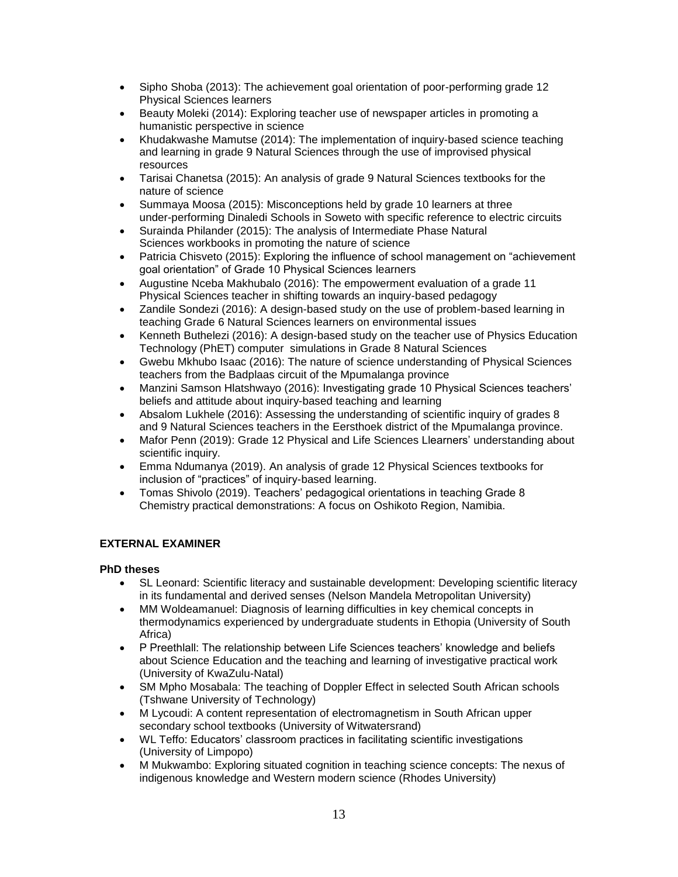- Sipho Shoba (2013): The achievement goal orientation of poor-performing grade 12 Physical Sciences learners
- Beauty Moleki (2014): Exploring teacher use of newspaper articles in promoting a humanistic perspective in science
- Khudakwashe Mamutse (2014): The implementation of inquiry-based science teaching and learning in grade 9 Natural Sciences through the use of improvised physical resources
- Tarisai Chanetsa (2015): An analysis of grade 9 Natural Sciences textbooks for the nature of science
- Summaya Moosa (2015): Misconceptions held by grade 10 learners at three under-performing Dinaledi Schools in Soweto with specific reference to electric circuits
- Surainda Philander (2015): The analysis of Intermediate Phase Natural Sciences workbooks in promoting the nature of science
- Patricia Chisveto (2015): Exploring the influence of school management on "achievement goal orientation" of Grade 10 Physical Sciences learners
- Augustine Nceba Makhubalo (2016): The empowerment evaluation of a grade 11 Physical Sciences teacher in shifting towards an inquiry-based pedagogy
- Zandile Sondezi (2016): A design-based study on the use of problem-based learning in teaching Grade 6 Natural Sciences learners on environmental issues
- Kenneth Buthelezi (2016): A design-based study on the teacher use of Physics Education Technology (PhET) computer simulations in Grade 8 Natural Sciences
- Gwebu Mkhubo Isaac (2016): The nature of science understanding of Physical Sciences teachers from the Badplaas circuit of the Mpumalanga province
- Manzini Samson Hlatshwayo (2016): Investigating grade 10 Physical Sciences teachers' beliefs and attitude about inquiry-based teaching and learning
- Absalom Lukhele (2016): Assessing the understanding of scientific inquiry of grades 8 and 9 Natural Sciences teachers in the Eersthoek district of the Mpumalanga province.
- Mafor Penn (2019): Grade 12 Physical and Life Sciences Llearners' understanding about scientific inquiry.
- Emma Ndumanya (2019). An analysis of grade 12 Physical Sciences textbooks for inclusion of "practices" of inquiry-based learning.
- Tomas Shivolo (2019). Teachers' pedagogical orientations in teaching Grade 8 Chemistry practical demonstrations: A focus on Oshikoto Region, Namibia.

## **EXTERNAL EXAMINER**

## **PhD theses**

- SL Leonard: Scientific literacy and sustainable development: Developing scientific literacy in its fundamental and derived senses (Nelson Mandela Metropolitan University)
- MM Woldeamanuel: Diagnosis of learning difficulties in key chemical concepts in thermodynamics experienced by undergraduate students in Ethopia (University of South Africa)
- P Preethlall: The relationship between Life Sciences teachers' knowledge and beliefs about Science Education and the teaching and learning of investigative practical work (University of KwaZulu-Natal)
- SM Mpho Mosabala: The teaching of Doppler Effect in selected South African schools (Tshwane University of Technology)
- M Lycoudi: A content representation of electromagnetism in South African upper secondary school textbooks (University of Witwatersrand)
- WL Teffo: Educators' classroom practices in facilitating scientific investigations (University of Limpopo)
- M Mukwambo: Exploring situated cognition in teaching science concepts: The nexus of indigenous knowledge and Western modern science (Rhodes University)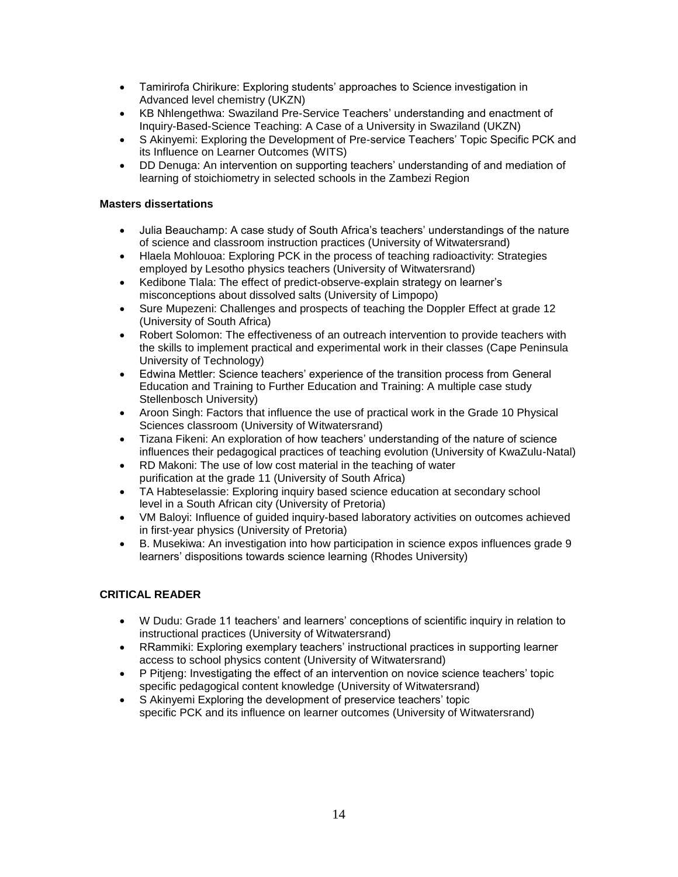- Tamirirofa Chirikure: Exploring students' approaches to Science investigation in Advanced level chemistry (UKZN)
- KB Nhlengethwa: Swaziland Pre-Service Teachers' understanding and enactment of Inquiry-Based-Science Teaching: A Case of a University in Swaziland (UKZN)
- S Akinyemi: Exploring the Development of Pre-service Teachers' Topic Specific PCK and its Influence on Learner Outcomes (WITS)
- DD Denuga: An intervention on supporting teachers' understanding of and mediation of learning of stoichiometry in selected schools in the Zambezi Region

#### **Masters dissertations**

- Julia Beauchamp: A case study of South Africa's teachers' understandings of the nature of science and classroom instruction practices (University of Witwatersrand)
- Hlaela Mohlouoa: Exploring PCK in the process of teaching radioactivity: Strategies employed by Lesotho physics teachers (University of Witwatersrand)
- Kedibone Tlala: The effect of predict-observe-explain strategy on learner's misconceptions about dissolved salts (University of Limpopo)
- Sure Mupezeni: Challenges and prospects of teaching the Doppler Effect at grade 12 (University of South Africa)
- Robert Solomon: The effectiveness of an outreach intervention to provide teachers with the skills to implement practical and experimental work in their classes (Cape Peninsula University of Technology)
- Edwina Mettler: Science teachers' experience of the transition process from General Education and Training to Further Education and Training: A multiple case study Stellenbosch University)
- Aroon Singh: Factors that influence the use of practical work in the Grade 10 Physical Sciences classroom (University of Witwatersrand)
- Tizana Fikeni: An exploration of how teachers' understanding of the nature of science influences their pedagogical practices of teaching evolution (University of KwaZulu-Natal)
- RD Makoni: The use of low cost material in the teaching of water purification at the grade 11 (University of South Africa)
- TA Habteselassie: Exploring inquiry based science education at secondary school level in a South African city (University of Pretoria)
- VM Baloyi: Influence of guided inquiry-based laboratory activities on outcomes achieved in first-year physics (University of Pretoria)
- B. Musekiwa: An investigation into how participation in science expos influences grade 9 learners' dispositions towards science learning (Rhodes University)

## **CRITICAL READER**

- W Dudu: Grade 11 teachers' and learners' conceptions of scientific inquiry in relation to instructional practices (University of Witwatersrand)
- RRammiki: Exploring exemplary teachers' instructional practices in supporting learner access to school physics content (University of Witwatersrand)
- P Pitjeng: Investigating the effect of an intervention on novice science teachers' topic specific pedagogical content knowledge (University of Witwatersrand)
- S Akinyemi Exploring the development of preservice teachers' topic specific PCK and its influence on learner outcomes (University of Witwatersrand)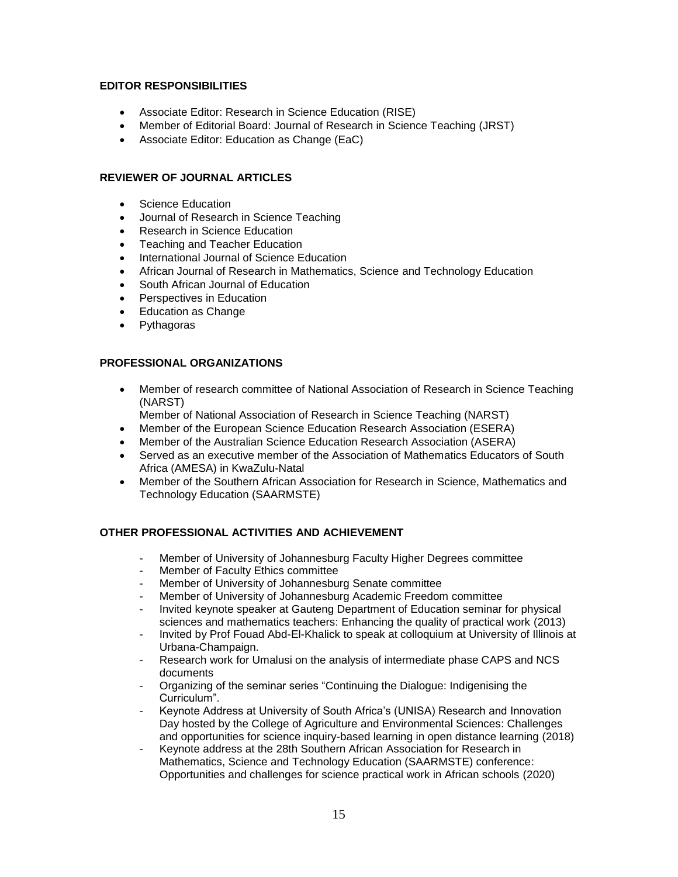#### **EDITOR RESPONSIBILITIES**

- Associate Editor: Research in Science Education (RISE)
- Member of Editorial Board: Journal of Research in Science Teaching (JRST)
- Associate Editor: Education as Change (EaC)

#### **REVIEWER OF JOURNAL ARTICLES**

- Science Education
- Journal of Research in Science Teaching
- Research in Science Education
- Teaching and Teacher Education
- International Journal of Science Education
- African Journal of Research in Mathematics, Science and Technology Education
- South African Journal of Education
- Perspectives in Education
- Education as Change
- Pythagoras

#### **PROFESSIONAL ORGANIZATIONS**

- Member of research committee of National Association of Research in Science Teaching (NARST)
	- Member of National Association of Research in Science Teaching (NARST)
- Member of the European Science Education Research Association (ESERA)
- Member of the Australian Science Education Research Association (ASERA)
- Served as an executive member of the Association of Mathematics Educators of South Africa (AMESA) in KwaZulu-Natal
- Member of the Southern African Association for Research in Science, Mathematics and Technology Education (SAARMSTE)

## **OTHER PROFESSIONAL ACTIVITIES AND ACHIEVEMENT**

- Member of University of Johannesburg Faculty Higher Degrees committee
- Member of Faculty Ethics committee
- Member of University of Johannesburg Senate committee
- Member of University of Johannesburg Academic Freedom committee
- Invited keynote speaker at Gauteng Department of Education seminar for physical sciences and mathematics teachers: Enhancing the quality of practical work (2013)
- Invited by Prof Fouad Abd-El-Khalick to speak at colloquium at University of Illinois at Urbana-Champaign.
- Research work for Umalusi on the analysis of intermediate phase CAPS and NCS documents
- Organizing of the seminar series "Continuing the Dialogue: Indigenising the Curriculum".
- Keynote Address at University of South Africa's (UNISA) Research and Innovation Day hosted by the College of Agriculture and Environmental Sciences: Challenges and opportunities for science inquiry-based learning in open distance learning (2018)
- Keynote address at the 28th Southern African Association for Research in Mathematics, Science and Technology Education (SAARMSTE) conference: Opportunities and challenges for science practical work in African schools (2020)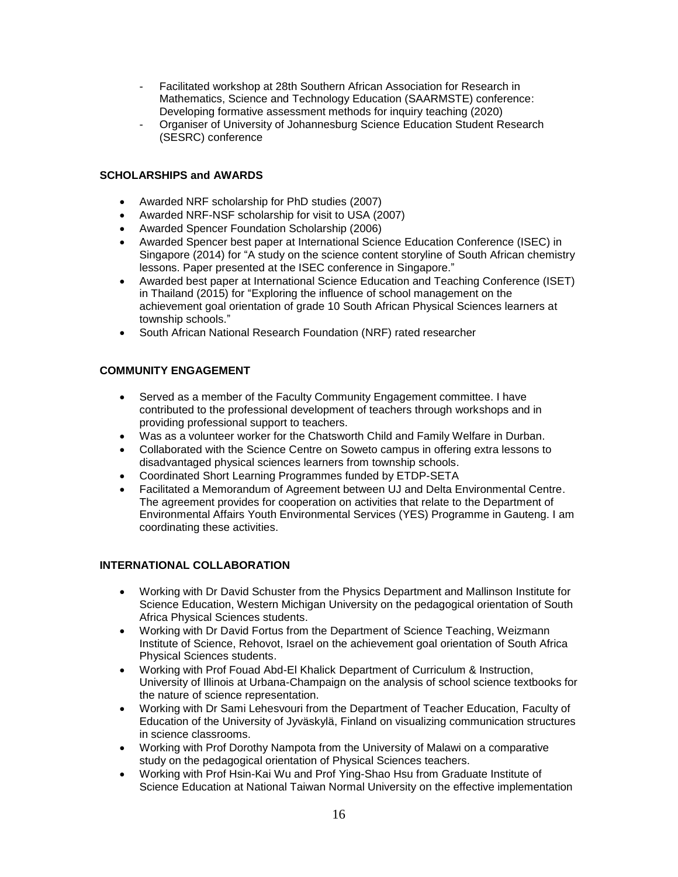- Facilitated workshop at 28th Southern African Association for Research in Mathematics, Science and Technology Education (SAARMSTE) conference: Developing formative assessment methods for inquiry teaching (2020)
- Organiser of University of Johannesburg Science Education Student Research (SESRC) conference

## **SCHOLARSHIPS and AWARDS**

- Awarded NRF scholarship for PhD studies (2007)
- Awarded NRF-NSF scholarship for visit to USA (2007)
- Awarded Spencer Foundation Scholarship (2006)
- Awarded Spencer best paper at International Science Education Conference (ISEC) in Singapore (2014) for "A study on the science content storyline of South African chemistry lessons. Paper presented at the ISEC conference in Singapore."
- Awarded best paper at International Science Education and Teaching Conference (ISET) in Thailand (2015) for "Exploring the influence of school management on the achievement goal orientation of grade 10 South African Physical Sciences learners at township schools."
- South African National Research Foundation (NRF) rated researcher

#### **COMMUNITY ENGAGEMENT**

- Served as a member of the Faculty Community Engagement committee. I have contributed to the professional development of teachers through workshops and in providing professional support to teachers.
- Was as a volunteer worker for the Chatsworth Child and Family Welfare in Durban.
- Collaborated with the Science Centre on Soweto campus in offering extra lessons to disadvantaged physical sciences learners from township schools.
- Coordinated Short Learning Programmes funded by ETDP-SETA
- Facilitated a Memorandum of Agreement between UJ and Delta Environmental Centre. The agreement provides for cooperation on activities that relate to the Department of Environmental Affairs Youth Environmental Services (YES) Programme in Gauteng. I am coordinating these activities.

#### **INTERNATIONAL COLLABORATION**

- Working with Dr David Schuster from the Physics Department and Mallinson Institute for Science Education, Western Michigan University on the pedagogical orientation of South Africa Physical Sciences students.
- Working with Dr David Fortus from the Department of Science Teaching, Weizmann Institute of Science, Rehovot, Israel on the achievement goal orientation of South Africa Physical Sciences students.
- Working with Prof Fouad Abd-El Khalick Department of Curriculum & Instruction, University of Illinois at Urbana-Champaign on the analysis of school science textbooks for the nature of science representation.
- Working with Dr Sami Lehesvouri from the Department of Teacher Education, Faculty of Education of the University of Jyväskylä, Finland on visualizing communication structures in science classrooms.
- Working with Prof Dorothy Nampota from the University of Malawi on a comparative study on the pedagogical orientation of Physical Sciences teachers.
- Working with Prof Hsin-Kai Wu and Prof Ying-Shao Hsu from Graduate Institute of Science Education at National Taiwan Normal University on the effective implementation